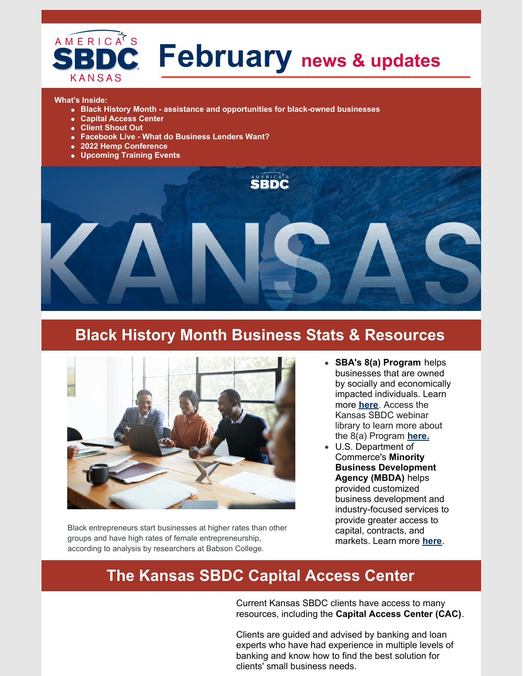

# **February news & updates**

#### **What's Inside:**

- **Black History Month - assistance and opportunities for black-owned businesses**
- **Capital Access Center**
- **Client Shout Out**
- **Facebook Live - What do Business Lenders Want?**
- **2022 Hemp Conference**
- **Upcoming Training Events**



### **Black History Month Business Stats & Resources**



Black entrepreneurs start businesses at higher rates than other groups and have high rates of female entrepreneurship, according to analysis by researchers at Babson College.

- **SBA's 8(a) Program** helps businesses that are owned by socially and economically impacted individuals. Learn more **[here](https://www.sba.gov/federal-contracting/contracting-assistance-programs/8a-business-development-program)**. Access the Kansas SBDC webinar library to learn more about the 8(a) Program **[here.](https://www.kansassbdc.net/ksbdc-webinars-vimeo)**
- U.S. Department of Commerce's **Minority Business Development Agency (MBDA)** helps provided customized business development and industry-focused services to provide greater access to capital, contracts, and markets. Learn more **[here](https://www.mbda.gov/)**.

### **The Kansas SBDC Capital Access Center**

Current Kansas SBDC clients have access to many resources, including the **Capital Access Center (CAC)**.

Clients are guided and advised by banking and loan experts who have had experience in multiple levels of banking and know how to find the best solution for clients' small business needs.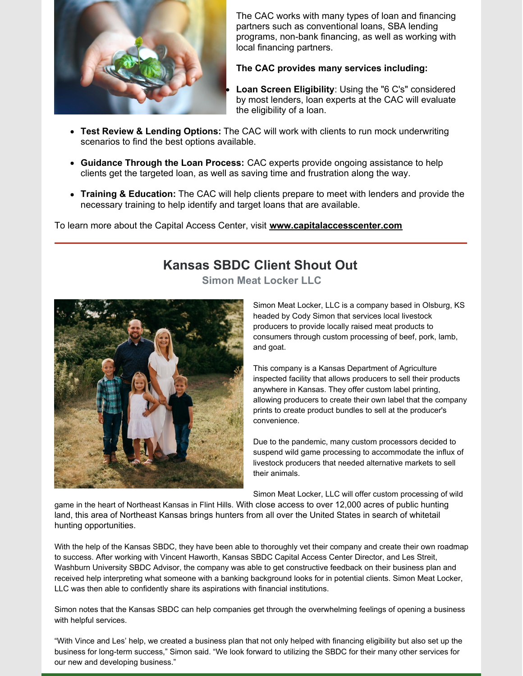

The CAC works with many types of loan and financing partners such as conventional loans, SBA lending programs, non-bank financing, as well as working with local financing partners.

#### **The CAC provides many services including:**

**Loan Screen Eligibility**: Using the "6 C's" considered by most lenders, loan experts at the CAC will evaluate the eligibility of a loan.

- **Test Review & Lending Options:** The CAC will work with clients to run mock underwriting scenarios to find the best options available.
- **Guidance Through the Loan Process:** CAC experts provide ongoing assistance to help clients get the targeted loan, as well as saving time and frustration along the way.
- **Training & Education:** The CAC will help clients prepare to meet with lenders and provide the necessary training to help identify and target loans that are available.

To learn more about the Capital Access Center, visit **[www.capitalaccesscenter.com](https://www.capitalaccesscenter.com/)**

### **Kansas SBDC Client Shout Out**

**Simon Meat Locker LLC**



Simon Meat Locker, LLC is a company based in Olsburg, KS headed by Cody Simon that services local livestock producers to provide locally raised meat products to consumers through custom processing of beef, pork, lamb, and goat.

This company is a Kansas Department of Agriculture inspected facility that allows producers to sell their products anywhere in Kansas. They offer custom label printing, allowing producers to create their own label that the company prints to create product bundles to sell at the producer's convenience.

Due to the pandemic, many custom processors decided to suspend wild game processing to accommodate the influx of livestock producers that needed alternative markets to sell their animals.

Simon Meat Locker, LLC will offer custom processing of wild

game in the heart of Northeast Kansas in Flint Hills. With close access to over 12,000 acres of public hunting land, this area of Northeast Kansas brings hunters from all over the United States in search of whitetail hunting opportunities.

With the help of the Kansas SBDC, they have been able to thoroughly vet their company and create their own roadmap to success. After working with Vincent Haworth, Kansas SBDC Capital Access Center Director, and Les Streit, Washburn University SBDC Advisor, the company was able to get constructive feedback on their business plan and received help interpreting what someone with a banking background looks for in potential clients. Simon Meat Locker, LLC was then able to confidently share its aspirations with financial institutions.

Simon notes that the Kansas SBDC can help companies get through the overwhelming feelings of opening a business with helpful services.

"With Vince and Les' help, we created a business plan that not only helped with financing eligibility but also set up the business for long-term success," Simon said. "We look forward to utilizing the SBDC for their many other services for our new and developing business."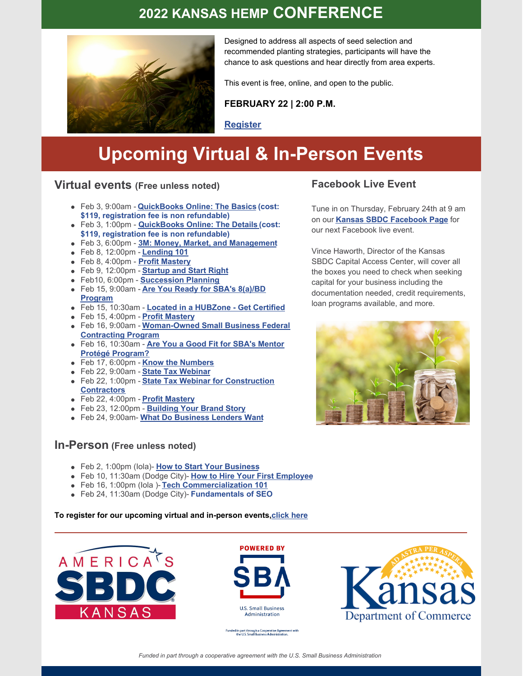### **2022 KANSAS HEMP CONFERENCE**



Designed to address all aspects of seed selection and recommended planting strategies, participants will have the chance to ask questions and hear directly from area experts.

This event is free, online, and open to the public.

**FEBRUARY 22 | 2:00 P.M.**

**[Register](https://us06web.zoom.us/webinar/register/WN_CKN8M5E4RQa5JzLa6wXKFg)**

## **Upcoming Virtual & In-Person Events**

### **Virtual events (Free unless noted)**

- Feb 3, 9:00am **QuickBooks Online: The Basics (cost: \$119, registration fee is non refundable)**
- Feb 3, 1:00pm **[QuickBooks](https://secure.touchnet.com/C21797_ustores/web/product_detail.jsp?PRODUCTID=420&SINGLESTORE=true) Online: The Details (cost: \$119, registration fee is non refundable)**
- Feb 3, 6:00pm **3M: Money, Market, and [Management](https://www.ncrpc.org/event/3m-money-market-and-management-2/)**
- Feb 8, 12:00pm **[Lending](https://secure.touchnet.com/C21797_ustores/web/product_detail.jsp?PRODUCTID=3323&SINGLESTORE=true) 101**
- Feb 8, 4:00pm **Profit [Mastery](https://33df357c-afb3-44d0-a3d7-ea5127deedc8.filesusr.com/ugd/9d05b1_e90d292395d54291b551d2be06edd2ea.pdf)**
- Feb 9, 12:00pm **[Startup](https://secure.touchnet.com/C21797_ustores/web/product_detail.jsp?PRODUCTID=3130&SINGLESTORE=true) and Start Right**
- Feb10, 6:00pm **[Succession](https://www.ncrpc.org/event/succession-planning-2/) Planning**
- Feb 15, 9:00am **Are You Ready for SBA's 8(a)/BD [Program](https://secure.touchnet.com/C21797_ustores/web/product_detail.jsp?PRODUCTID=3207&SINGLESTORE=true)**
- Feb 15, 10:30am **Located in a [HUBZone](https://secure.touchnet.com/C21797_ustores/web/product_detail.jsp?PRODUCTID=3208&SINGLESTORE=true) - Get Certified**
- Feb 15, 4:00pm **Profit [Mastery](https://33df357c-afb3-44d0-a3d7-ea5127deedc8.filesusr.com/ugd/9d05b1_e90d292395d54291b551d2be06edd2ea.pdf)**
- Feb 16, 9:00am **[Woman-Owned](https://secure.touchnet.com/C21797_ustores/web/product_detail.jsp?PRODUCTID=3209&SINGLESTORE=true) Small Business Federal Contracting Program**
- Feb 16, 10:30am **Are You a Good Fit for SBA's Mentor Protégé [Program?](https://secure.touchnet.com/C21797_ustores/web/product_detail.jsp?PRODUCTID=3210&SINGLESTORE=true)**
- Feb 17, 6:00pm **Know the [Numbers](https://www.ncrpc.org/event/know-the-numbers-2/)**
- Feb 22, 9:00am **State Tax [Webinar](https://secure.touchnet.com/C21797_ustores/web/product_detail.jsp?PRODUCTID=3256&SINGLESTORE=true)**
- Feb 22, 1:00pm **State Tax Webinar for [Construction](https://secure.touchnet.com/C21797_ustores/web/product_detail.jsp?PRODUCTID=3254&SINGLESTORE=true) Contractors**
- Feb 22, 4:00pm **Profit [Mastery](https://33df357c-afb3-44d0-a3d7-ea5127deedc8.filesusr.com/ugd/9d05b1_e90d292395d54291b551d2be06edd2ea.pdf)**
- Feb 23, 12:00pm **[Building](https://secure.touchnet.com/C21797_ustores/web/product_detail.jsp?PRODUCTID=2870&SINGLESTORE=true) Your Brand Story**
- Feb 24, 9:00am- **What Do [Business](https://us06web.zoom.us/webinar/register/WN_2uIOBIMAR7uG7SGX58v5cA) Lenders Want**

#### **In-Person (Free unless noted)**

- Feb 2, 1:00pm (Iola)- **How to Start Your [Business](https://ksbdc.ecenterdirect.com/events/27056)**
- Feb 10, 11:30am (Dodge City)- **How to Hire Your First [Employee](https://ksbdc.ecenterdirect.com/events/26949)**
- Feb 16, 1:00pm (Iola )- **Tech [Commercialization](https://jcccsbdc.com/youve-been-hacked/) 101**
- Feb 24, 11:30am (Dodge City)- **[Fundamentals](https://ksbdc.ecenterdirect.com/events/26956) of SEO**

**To register for our upcoming virtual and in-person events[,click](http://www.kansassbdc.net/training) here**





ed in part through a Cooperative Agreem<br>the U.S. Small Business Administration

Department of Commerce

*Funded in part through a cooperative agreement with the U.S. Small Business Administration*

#### **Facebook Live Event**

Tune in on Thursday, February 24th at 9 am on our **Kansas SBDC [Facebook](https://www.facebook.com/pittstateksbdc/) Page** for our next Facebook live event.

Vince Haworth, Director of the Kansas SBDC Capital Access Center, will cover all the boxes you need to check when seeking capital for your business including the documentation needed, credit requirements, loan programs available, and more.